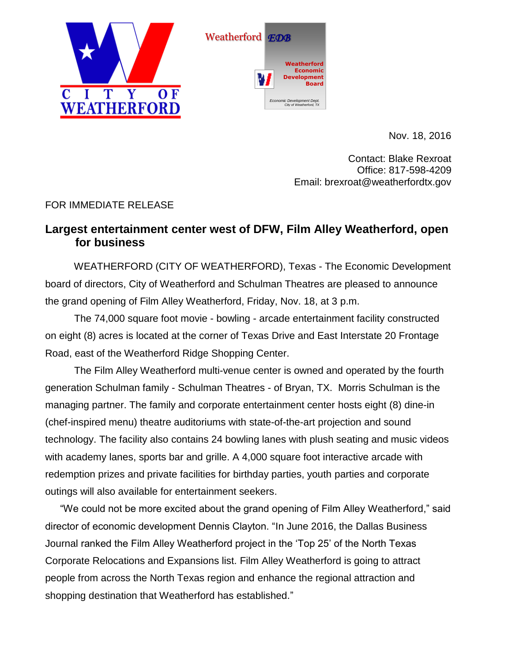



Nov. 18, 2016

Contact: Blake Rexroat Office: 817-598-4209 Email: brexroat@weatherfordtx.gov

## FOR IMMEDIATE RELEASE

## **Largest entertainment center west of DFW, Film Alley Weatherford, open for business**

 WEATHERFORD (CITY OF WEATHERFORD), Texas - The Economic Development board of directors, City of Weatherford and Schulman Theatres are pleased to announce the grand opening of Film Alley Weatherford, Friday, Nov. 18, at 3 p.m.

 The 74,000 square foot movie - bowling - arcade entertainment facility constructed on eight (8) acres is located at the corner of Texas Drive and East Interstate 20 Frontage Road, east of the Weatherford Ridge Shopping Center.

 The Film Alley Weatherford multi-venue center is owned and operated by the fourth generation Schulman family - Schulman Theatres - of Bryan, TX. Morris Schulman is the managing partner. The family and corporate entertainment center hosts eight (8) dine-in (chef-inspired menu) theatre auditoriums with state-of-the-art projection and sound technology. The facility also contains 24 bowling lanes with plush seating and music videos with academy lanes, sports bar and grille. A 4,000 square foot interactive arcade with redemption prizes and private facilities for birthday parties, youth parties and corporate outings will also available for entertainment seekers.

"We could not be more excited about the grand opening of Film Alley Weatherford," said director of economic development Dennis Clayton. "In June 2016, the Dallas Business Journal ranked the Film Alley Weatherford project in the 'Top 25' of the North Texas Corporate Relocations and Expansions list. Film Alley Weatherford is going to attract people from across the North Texas region and enhance the regional attraction and shopping destination that Weatherford has established."